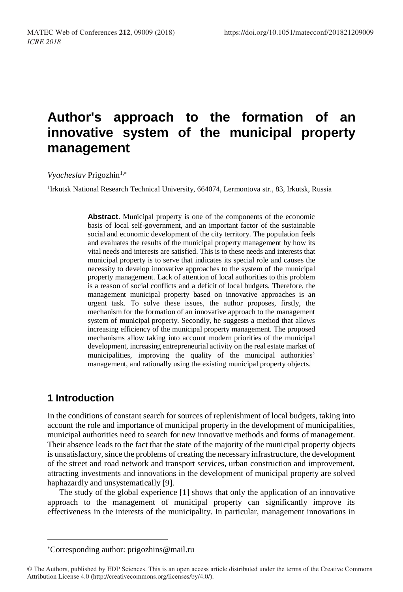# **Author's approach to the formation of an innovative system of the municipal property management**

*Vyacheslav* Prigozhin<sup>1,\*</sup>

<sup>1</sup>Irkutsk National Research Technical University, 664074, Lermontova str., 83, Irkutsk, Russia

**Abstract**. Municipal property is one of the components of the economic basis of local self-government, and an important factor of the sustainable social and economic development of the city territory. The population feels and evaluates the results of the municipal property management by how its vital needs and interests are satisfied. This is to these needs and interests that municipal property is to serve that indicates its special role and causes the necessity to develop innovative approaches to the system of the municipal property management. Lack of attention of local authorities to this problem is a reason of social conflicts and a deficit of local budgets. Therefore, the management municipal property based on innovative approaches is an urgent task. To solve these issues, the author proposes, firstly, the mechanism for the formation of an innovative approach to the management system of municipal property. Secondly, he suggests a method that allows increasing efficiency of the municipal property management. The proposed mechanisms allow taking into account modern priorities of the municipal development, increasing entrepreneurial activity on the real estate market of municipalities, improving the quality of the municipal authorities' management, and rationally using the existing municipal property objects.

## **1 Introduction**

l

In the conditions of constant search for sources of replenishment of local budgets, taking into account the role and importance of municipal property in the development of municipalities, municipal authorities need to search for new innovative methods and forms of management. Their absence leads to the fact that the state of the majority of the municipal property objects is unsatisfactory, since the problems of creating the necessary infrastructure, the development of the street and road network and transport services, urban construction and improvement, attracting investments and innovations in the development of municipal property are solved haphazardly and unsystematically [9].

The study of the global experience [1] shows that only the application of an innovative approach to the management of municipal property can significantly improve its effectiveness in the interests of the municipality. In particular, management innovations in

Corresponding author[: prigozhins@mail.ru](mailto:prigozhins@mail.ru)

<sup>©</sup> The Authors, published by EDP Sciences. This is an open access article distributed under the terms of the Creative Commons Attribution License 4.0 (http://creativecommons.org/licenses/by/4.0/).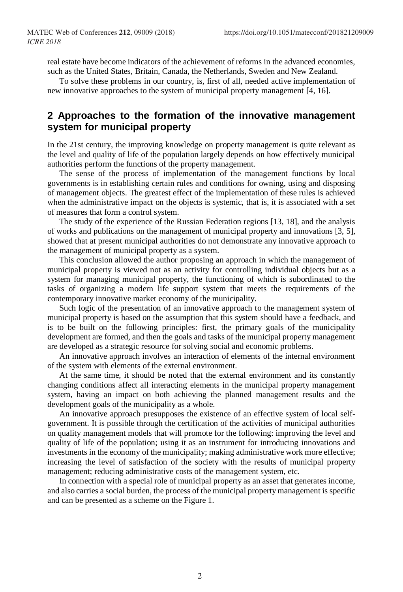real estate have become indicators of the achievement of reforms in the advanced economies, such as the United States, Britain, Canada, the Netherlands, Sweden and New Zealand.

To solve these problems in our country, is, first of all, needed active implementation of new innovative approaches to the system of municipal property management [4, 16].

#### **2 Approaches to the formation of the innovative management system for municipal property**

In the 21st century, the improving knowledge on property management is quite relevant as the level and quality of life of the population largely depends on how effectively municipal authorities perform the functions of the property management.

The sense of the process of implementation of the management functions by local governments is in establishing certain rules and conditions for owning, using and disposing of management objects. The greatest effect of the implementation of these rules is achieved when the administrative impact on the objects is systemic, that is, it is associated with a set of measures that form a control system.

The study of the experience of the Russian Federation regions [13, 18], and the analysis of works and publications on the management of municipal property and innovations [3, 5], showed that at present municipal authorities do not demonstrate any innovative approach to the management of municipal property as a system.

This conclusion allowed the author proposing an approach in which the management of municipal property is viewed not as an activity for controlling individual objects but as a system for managing municipal property, the functioning of which is subordinated to the tasks of organizing a modern life support system that meets the requirements of the contemporary innovative market economy of the municipality.

Such logic of the presentation of an innovative approach to the management system of municipal property is based on the assumption that this system should have a feedback, and is to be built on the following principles: first, the primary goals of the municipality development are formed, and then the goals and tasks of the municipal property management are developed as a strategic resource for solving social and economic problems.

An innovative approach involves an interaction of elements of the internal environment of the system with elements of the external environment.

At the same time, it should be noted that the external environment and its constantly changing conditions affect all interacting elements in the municipal property management system, having an impact on both achieving the planned management results and the development goals of the municipality as a whole.

An innovative approach presupposes the existence of an effective system of local selfgovernment. It is possible through the certification of the activities of municipal authorities on quality management models that will promote for the following: improving the level and quality of life of the population; using it as an instrument for introducing innovations and investments in the economy of the municipality; making administrative work more effective; increasing the level of satisfaction of the society with the results of municipal property management; reducing administrative costs of the management system, etc.

In connection with a special role of municipal property as an asset that generates income, and also carries a social burden, the process of the municipal property management is specific and can be presented as a scheme on the Figure 1.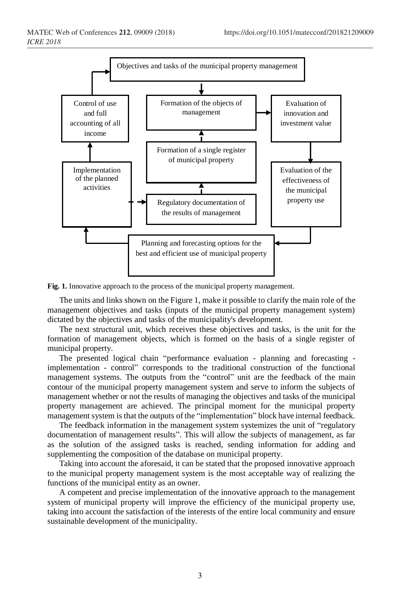

**Fig. 1.** Innovative approach to the process of the municipal property management.

The units and links shown on the Figure 1, make it possible to clarify the main role of the management objectives and tasks (inputs of the municipal property management system) dictated by the objectives and tasks of the municipality's development.

The next structural unit, which receives these objectives and tasks, is the unit for the formation of management objects, which is formed on the basis of a single register of municipal property.

The presented logical chain "performance evaluation - planning and forecasting implementation - control" corresponds to the traditional construction of the functional management systems. The outputs from the "control" unit are the feedback of the main contour of the municipal property management system and serve to inform the subjects of management whether or not the results of managing the objectives and tasks of the municipal property management are achieved. The principal moment for the municipal property management system is that the outputs of the "implementation" block have internal feedback.

The feedback information in the management system systemizes the unit of "regulatory" documentation of management results". This will allow the subjects of management, as far as the solution of the assigned tasks is reached, sending information for adding and supplementing the composition of the database on municipal property.

Taking into account the aforesaid, it can be stated that the proposed innovative approach to the municipal property management system is the most acceptable way of realizing the functions of the municipal entity as an owner.

A competent and precise implementation of the innovative approach to the management system of municipal property will improve the efficiency of the municipal property use, taking into account the satisfaction of the interests of the entire local community and ensure sustainable development of the municipality.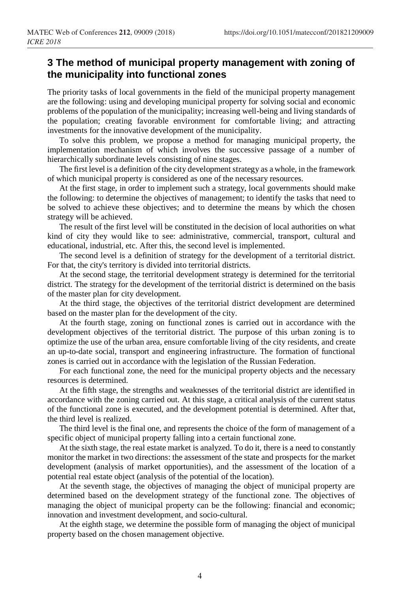### **3 The method of municipal property management with zoning of the municipality into functional zones**

The priority tasks of local governments in the field of the municipal property management are the following: using and developing municipal property for solving social and economic problems of the population of the municipality; increasing well-being and living standards of the population; creating favorable environment for comfortable living; and attracting investments for the innovative development of the municipality.

To solve this problem, we propose a method for managing municipal property, the implementation mechanism of which involves the successive passage of a number of hierarchically subordinate levels consisting of nine stages.

The first level is a definition of the city development strategy as a whole, in the framework of which municipal property is considered as one of the necessary resources.

At the first stage, in order to implement such a strategy, local governments should make the following: to determine the objectives of management; to identify the tasks that need to be solved to achieve these objectives; and to determine the means by which the chosen strategy will be achieved.

The result of the first level will be constituted in the decision of local authorities on what kind of city they would like to see: administrative, commercial, transport, cultural and educational, industrial, etc. After this, the second level is implemented.

The second level is a definition of strategy for the development of a territorial district. For that, the city's territory is divided into territorial districts.

At the second stage, the territorial development strategy is determined for the territorial district. The strategy for the development of the territorial district is determined on the basis of the master plan for city development.

At the third stage, the objectives of the territorial district development are determined based on the master plan for the development of the city.

At the fourth stage, zoning on functional zones is carried out in accordance with the development objectives of the territorial district. The purpose of this urban zoning is to optimize the use of the urban area, ensure comfortable living of the city residents, and create an up-to-date social, transport and engineering infrastructure. The formation of functional zones is carried out in accordance with the legislation of the Russian Federation.

For each functional zone, the need for the municipal property objects and the necessary resources is determined.

At the fifth stage, the strengths and weaknesses of the territorial district are identified in accordance with the zoning carried out. At this stage, a critical analysis of the current status of the functional zone is executed, and the development potential is determined. After that, the third level is realized.

The third level is the final one, and represents the choice of the form of management of a specific object of municipal property falling into a certain functional zone.

At the sixth stage, the real estate market is analyzed. To do it, there is a need to constantly monitor the market in two directions: the assessment of the state and prospects for the market development (analysis of market opportunities), and the assessment of the location of a potential real estate object (analysis of the potential of the location).

At the seventh stage, the objectives of managing the object of municipal property are determined based on the development strategy of the functional zone. The objectives of managing the object of municipal property can be the following: financial and economic; innovation and investment development, and socio-cultural.

At the eighth stage, we determine the possible form of managing the object of municipal property based on the chosen management objective.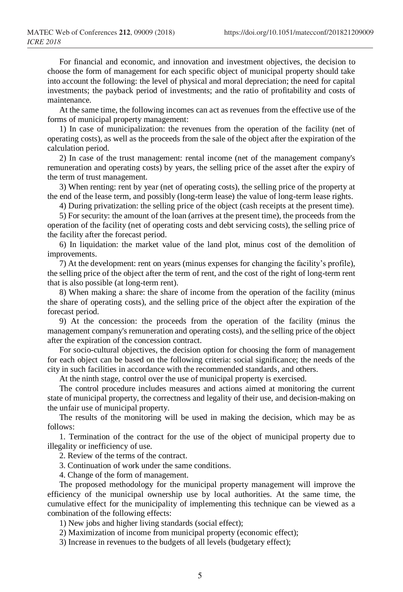For financial and economic, and innovation and investment objectives, the decision to choose the form of management for each specific object of municipal property should take into account the following: the level of physical and moral depreciation; the need for capital investments; the payback period of investments; and the ratio of profitability and costs of maintenance.

At the same time, the following incomes can act as revenues from the effective use of the forms of municipal property management:

1) In case of municipalization: the revenues from the operation of the facility (net of operating costs), as well as the proceeds from the sale of the object after the expiration of the calculation period.

2) In case of the trust management: rental income (net of the management company's remuneration and operating costs) by years, the selling price of the asset after the expiry of the term of trust management.

3) When renting: rent by year (net of operating costs), the selling price of the property at the end of the lease term, and possibly (long-term lease) the value of long-term lease rights.

4) During privatization: the selling price of the object (cash receipts at the present time).

5) For security: the amount of the loan (arrives at the present time), the proceeds from the operation of the facility (net of operating costs and debt servicing costs), the selling price of the facility after the forecast period.

6) In liquidation: the market value of the land plot, minus cost of the demolition of improvements.

7) At the development: rent on years (minus expenses for changing the facility's profile), the selling price of the object after the term of rent, and the cost of the right of long-term rent that is also possible (at long-term rent).

8) When making a share: the share of income from the operation of the facility (minus the share of operating costs), and the selling price of the object after the expiration of the forecast period.

9) At the concession: the proceeds from the operation of the facility (minus the management company's remuneration and operating costs), and the selling price of the object after the expiration of the concession contract.

For socio-cultural objectives, the decision option for choosing the form of management for each object can be based on the following criteria: social significance; the needs of the city in such facilities in accordance with the recommended standards, and others.

At the ninth stage, control over the use of municipal property is exercised.

The control procedure includes measures and actions aimed at monitoring the current state of municipal property, the correctness and legality of their use, and decision-making on the unfair use of municipal property.

The results of the monitoring will be used in making the decision, which may be as follows:

1. Termination of the contract for the use of the object of municipal property due to illegality or inefficiency of use.

2. Review of the terms of the contract.

3. Continuation of work under the same conditions.

4. Change of the form of management.

The proposed methodology for the municipal property management will improve the efficiency of the municipal ownership use by local authorities. At the same time, the cumulative effect for the municipality of implementing this technique can be viewed as a combination of the following effects:

1) New jobs and higher living standards (social effect);

2) Maximization of income from municipal property (economic effect);

3) Increase in revenues to the budgets of all levels (budgetary effect);